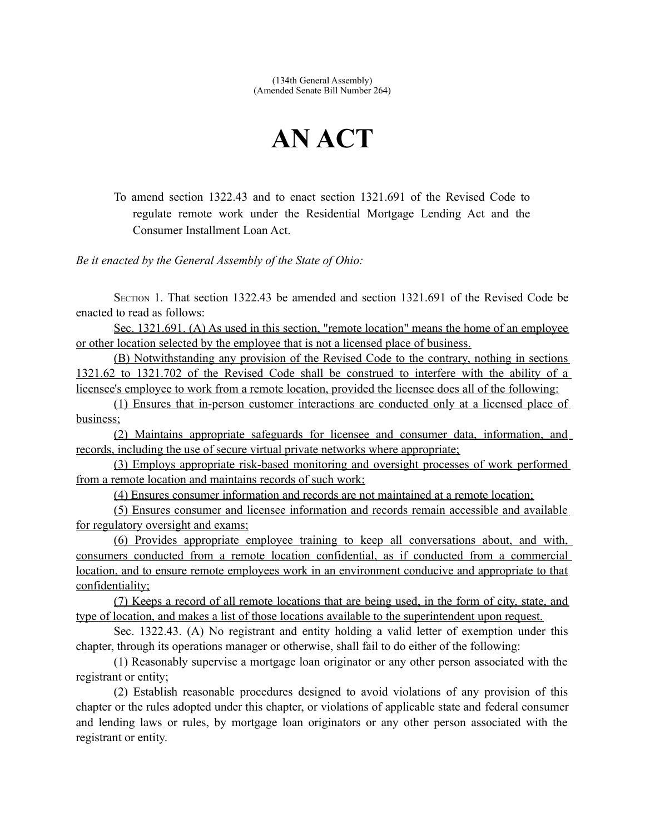(134th General Assembly) (Amended Senate Bill Number 264)

## **AN ACT**

To amend section 1322.43 and to enact section 1321.691 of the Revised Code to regulate remote work under the Residential Mortgage Lending Act and the Consumer Installment Loan Act.

*Be it enacted by the General Assembly of the State of Ohio:*

SECTION 1. That section 1322.43 be amended and section 1321.691 of the Revised Code be enacted to read as follows:

Sec. 1321.691. (A) As used in this section, "remote location" means the home of an employee or other location selected by the employee that is not a licensed place of business.

(B) Notwithstanding any provision of the Revised Code to the contrary, nothing in sections 1321.62 to 1321.702 of the Revised Code shall be construed to interfere with the ability of a licensee's employee to work from a remote location, provided the licensee does all of the following:

(1) Ensures that in-person customer interactions are conducted only at a licensed place of business;

(2) Maintains appropriate safeguards for licensee and consumer data, information, and records, including the use of secure virtual private networks where appropriate;

(3) Employs appropriate risk-based monitoring and oversight processes of work performed from a remote location and maintains records of such work;

(4) Ensures consumer information and records are not maintained at a remote location;

(5) Ensures consumer and licensee information and records remain accessible and available for regulatory oversight and exams;

(6) Provides appropriate employee training to keep all conversations about, and with, consumers conducted from a remote location confidential, as if conducted from a commercial location, and to ensure remote employees work in an environment conducive and appropriate to that confidentiality;

(7) Keeps a record of all remote locations that are being used, in the form of city, state, and type of location, and makes a list of those locations available to the superintendent upon request.

Sec. 1322.43. (A) No registrant and entity holding a valid letter of exemption under this chapter, through its operations manager or otherwise, shall fail to do either of the following:

(1) Reasonably supervise a mortgage loan originator or any other person associated with the registrant or entity;

(2) Establish reasonable procedures designed to avoid violations of any provision of this chapter or the rules adopted under this chapter, or violations of applicable state and federal consumer and lending laws or rules, by mortgage loan originators or any other person associated with the registrant or entity.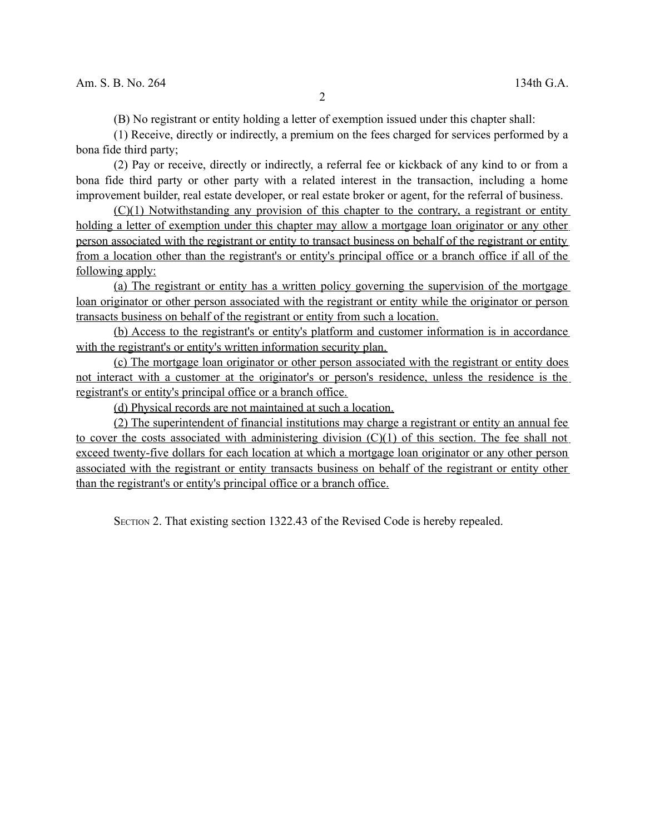(B) No registrant or entity holding a letter of exemption issued under this chapter shall:

(1) Receive, directly or indirectly, a premium on the fees charged for services performed by a bona fide third party;

(2) Pay or receive, directly or indirectly, a referral fee or kickback of any kind to or from a bona fide third party or other party with a related interest in the transaction, including a home improvement builder, real estate developer, or real estate broker or agent, for the referral of business.

(C)(1) Notwithstanding any provision of this chapter to the contrary, a registrant or entity holding a letter of exemption under this chapter may allow a mortgage loan originator or any other person associated with the registrant or entity to transact business on behalf of the registrant or entity from a location other than the registrant's or entity's principal office or a branch office if all of the following apply:

(a) The registrant or entity has a written policy governing the supervision of the mortgage loan originator or other person associated with the registrant or entity while the originator or person transacts business on behalf of the registrant or entity from such a location.

(b) Access to the registrant's or entity's platform and customer information is in accordance with the registrant's or entity's written information security plan.

 (c) The mortgage loan originator or other person associated with the registrant or entity does not interact with a customer at the originator's or person's residence, unless the residence is the registrant's or entity's principal office or a branch office.

(d) Physical records are not maintained at such a location.

(2) The superintendent of financial institutions may charge a registrant or entity an annual fee to cover the costs associated with administering division (C)(1) of this section. The fee shall not exceed twenty-five dollars for each location at which a mortgage loan originator or any other person associated with the registrant or entity transacts business on behalf of the registrant or entity other than the registrant's or entity's principal office or a branch office.

SECTION 2. That existing section 1322.43 of the Revised Code is hereby repealed.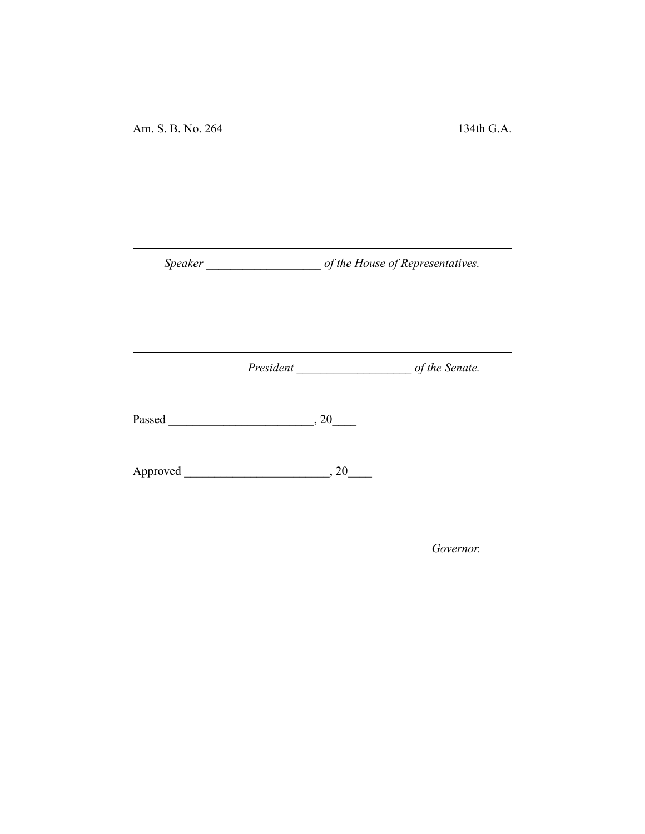*Speaker \_\_\_\_\_\_\_\_\_\_\_\_\_\_\_\_\_\_\_ of the House of Representatives.*

*President \_\_\_\_\_\_\_\_\_\_\_\_\_\_\_\_\_\_\_ of the Senate.*

Passed \_\_\_\_\_\_\_\_\_\_\_\_\_\_\_\_\_\_\_\_\_\_\_\_, 20\_\_\_\_

Approved \_\_\_\_\_\_\_\_\_\_\_\_\_\_\_\_\_\_\_\_\_\_\_\_, 20\_\_\_\_

*Governor.*